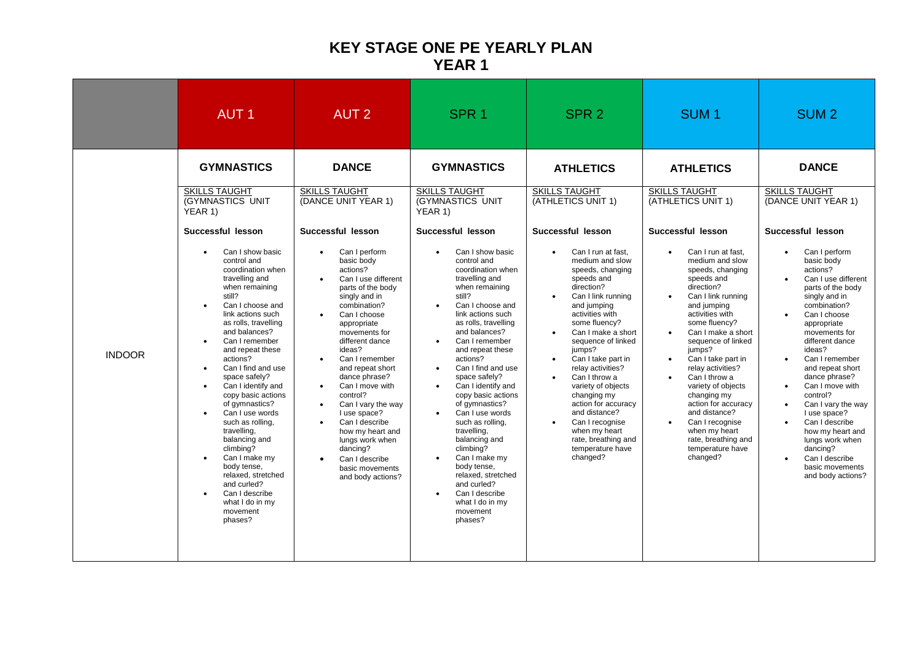## **KEY STAGE ONE PE YEARLY PLAN YEAR 1**

|               | <b>AUT1</b>                                                                                                                                                                                                                                                                                                                                                                                                                                                                                                                                                                                                                                                                                                                                                  | <b>AUT 2</b>                                                                                                                                                                                                                                                                                                                                                                                                                                                                                                                                                               | SPR <sub>1</sub>                                                                                                                                                                                                                                                                                                                                                                                                                                                                                                                                                                                                                                                                                                                                | SPR <sub>2</sub>                                                                                                                                                                                                                                                                                                                                                                                                                                                                                                                                                                                    | SUM <sub>1</sub>                                                                                                                                                                                                                                                                                                                                                                                                                                                                                                                                                                       | SUM <sub>2</sub>                                                                                                                                                                                                                                                                                                                                                                                                                                                                                                                                                                                                               |
|---------------|--------------------------------------------------------------------------------------------------------------------------------------------------------------------------------------------------------------------------------------------------------------------------------------------------------------------------------------------------------------------------------------------------------------------------------------------------------------------------------------------------------------------------------------------------------------------------------------------------------------------------------------------------------------------------------------------------------------------------------------------------------------|----------------------------------------------------------------------------------------------------------------------------------------------------------------------------------------------------------------------------------------------------------------------------------------------------------------------------------------------------------------------------------------------------------------------------------------------------------------------------------------------------------------------------------------------------------------------------|-------------------------------------------------------------------------------------------------------------------------------------------------------------------------------------------------------------------------------------------------------------------------------------------------------------------------------------------------------------------------------------------------------------------------------------------------------------------------------------------------------------------------------------------------------------------------------------------------------------------------------------------------------------------------------------------------------------------------------------------------|-----------------------------------------------------------------------------------------------------------------------------------------------------------------------------------------------------------------------------------------------------------------------------------------------------------------------------------------------------------------------------------------------------------------------------------------------------------------------------------------------------------------------------------------------------------------------------------------------------|----------------------------------------------------------------------------------------------------------------------------------------------------------------------------------------------------------------------------------------------------------------------------------------------------------------------------------------------------------------------------------------------------------------------------------------------------------------------------------------------------------------------------------------------------------------------------------------|--------------------------------------------------------------------------------------------------------------------------------------------------------------------------------------------------------------------------------------------------------------------------------------------------------------------------------------------------------------------------------------------------------------------------------------------------------------------------------------------------------------------------------------------------------------------------------------------------------------------------------|
| <b>INDOOR</b> | <b>GYMNASTICS</b><br><b>SKILLS TAUGHT</b><br>(GYMNASTICS UNIT<br>YEAR 1)<br>Successful lesson<br>Can I show basic<br>$\bullet$<br>control and<br>coordination when<br>travelling and<br>when remaining<br>still?<br>Can I choose and<br>$\bullet$<br>link actions such<br>as rolls, travelling<br>and balances?<br>Can I remember<br>$\bullet$<br>and repeat these<br>actions?<br>Can I find and use<br>$\bullet$<br>space safely?<br>Can I identify and<br>$\bullet$<br>copy basic actions<br>of gymnastics?<br>Can I use words<br>such as rolling.<br>travelling,<br>balancing and<br>climbing?<br>Can I make my<br>$\bullet$<br>body tense,<br>relaxed, stretched<br>and curled?<br>Can I describe<br>$\bullet$<br>what I do in my<br>movement<br>phases? | <b>DANCE</b><br><b>SKILLS TAUGHT</b><br>(DANCE UNIT YEAR 1)<br>Successful lesson<br>Can I perform<br>basic body<br>actions?<br>Can I use different<br>parts of the body<br>singly and in<br>combination?<br>Can I choose<br>appropriate<br>movements for<br>different dance<br>ideas?<br>Can I remember<br>$\bullet$<br>and repeat short<br>dance phrase?<br>Can I move with<br>$\bullet$<br>control?<br>Can I vary the way<br>I use space?<br>Can I describe<br>how my heart and<br>lungs work when<br>dancing?<br>Can I describe<br>basic movements<br>and body actions? | <b>GYMNASTICS</b><br><b>SKILLS TAUGHT</b><br>(GYMNASTICS UNIT<br>YEAR 1)<br>Successful lesson<br>Can I show basic<br>control and<br>coordination when<br>travelling and<br>when remaining<br>still?<br>Can I choose and<br>$\bullet$<br>link actions such<br>as rolls, travelling<br>and balances?<br>Can I remember<br>$\bullet$<br>and repeat these<br>actions?<br>Can I find and use<br>$\bullet$<br>space safely?<br>Can I identify and<br>$\bullet$<br>copy basic actions<br>of gymnastics?<br>Can I use words<br>such as rolling.<br>travelling,<br>balancing and<br>climbing?<br>Can I make my<br>$\bullet$<br>body tense,<br>relaxed, stretched<br>and curled?<br>Can I describe<br>$\bullet$<br>what I do in my<br>movement<br>phases? | <b>ATHLETICS</b><br><b>SKILLS TAUGHT</b><br>(ATHLETICS UNIT 1)<br>Successful lesson<br>Can I run at fast.<br>medium and slow<br>speeds, changing<br>speeds and<br>direction?<br>Can I link running<br>$\bullet$<br>and jumping<br>activities with<br>some fluency?<br>Can I make a short<br>$\bullet$<br>sequence of linked<br>jumps?<br>Can I take part in<br>$\bullet$<br>relay activities?<br>Can I throw a<br>variety of objects<br>changing my<br>action for accuracy<br>and distance?<br>Can I recognise<br>$\bullet$<br>when my heart<br>rate, breathing and<br>temperature have<br>changed? | <b>ATHLETICS</b><br><b>SKILLS TAUGHT</b><br>(ATHLETICS UNIT 1)<br>Successful lesson<br>Can I run at fast.<br>$\bullet$<br>medium and slow<br>speeds, changing<br>speeds and<br>direction?<br>Can I link running<br>$\bullet$<br>and jumping<br>activities with<br>some fluency?<br>Can I make a short<br>sequence of linked<br>jumps?<br>Can I take part in<br>relay activities?<br>Can I throw a<br>variety of objects<br>changing my<br>action for accuracy<br>and distance?<br>Can I recognise<br>$\bullet$<br>when my heart<br>rate, breathing and<br>temperature have<br>changed? | <b>DANCE</b><br><b>SKILLS TAUGHT</b><br>(DANCE UNIT YEAR 1)<br>Successful lesson<br>Can I perform<br>$\bullet$<br>basic body<br>actions?<br>Can I use different<br>$\bullet$<br>parts of the body<br>singly and in<br>combination?<br>Can I choose<br>$\bullet$<br>appropriate<br>movements for<br>different dance<br>ideas?<br>Can I remember<br>$\bullet$<br>and repeat short<br>dance phrase?<br>Can I move with<br>$\bullet$<br>control?<br>Can I vary the way<br>I use space?<br>Can I describe<br>how my heart and<br>lungs work when<br>dancing?<br>Can I describe<br>$\bullet$<br>basic movements<br>and body actions? |